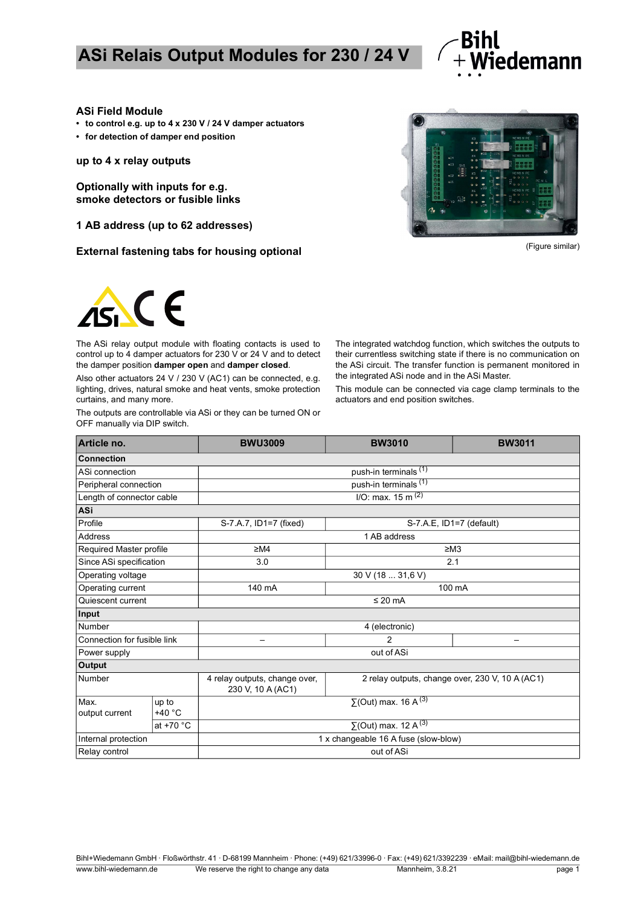

#### **ASi Field Module**

- **to control e.g. up to 4 x 230 V / 24 V damper actuators**
- **for detection of damper end position**

**up to 4 x relay outputs**

**Optionally with inputs for e.g. smoke detectors or fusible links**

**1 AB address (up to 62 addresses)**

**External fastening tabs for housing optional discussed and the external fastening tabs for housing optional** 





The ASi relay output module with floating contacts is used to control up to 4 damper actuators for 230 V or 24 V and to detect the damper position **damper open** and **damper closed**.

Also other actuators 24 V / 230 V (AC1) can be connected, e.g. lighting, drives, natural smoke and heat vents, smoke protection curtains, and many more.

The outputs are controllable via ASi or they can be turned ON or OFF manually via DIP switch.

The integrated watchdog function, which switches the outputs to their currentless switching state if there is no communication on the ASi circuit. The transfer function is permanent monitored in the integrated ASi node and in the ASi Master.

This module can be connected via cage clamp terminals to the actuators and end position switches.

| Article no.                 |                 | <b>BWU3009</b>                                     | <b>BW3010</b>                                   | <b>BW3011</b> |  |  |
|-----------------------------|-----------------|----------------------------------------------------|-------------------------------------------------|---------------|--|--|
| <b>Connection</b>           |                 |                                                    |                                                 |               |  |  |
| ASi connection              |                 | push-in terminals <sup>(1)</sup>                   |                                                 |               |  |  |
| Peripheral connection       |                 | push-in terminals (1)                              |                                                 |               |  |  |
| Length of connector cable   |                 | $I/O$ : max. 15 m <sup>(2)</sup>                   |                                                 |               |  |  |
| ASi                         |                 |                                                    |                                                 |               |  |  |
| Profile                     |                 | S-7.A.7, ID1=7 (fixed)                             | S-7.A.E, ID1=7 (default)                        |               |  |  |
| Address                     |                 | 1 AB address                                       |                                                 |               |  |  |
| Required Master profile     |                 | $\geq M4$                                          | $\geq$ M3                                       |               |  |  |
| Since ASi specification     |                 | 3.0                                                | 2.1                                             |               |  |  |
| Operating voltage           |                 | 30 V (18  31,6 V)                                  |                                                 |               |  |  |
| Operating current           |                 | 140 mA                                             | 100 mA                                          |               |  |  |
| Quiescent current           |                 | $\leq$ 20 mA                                       |                                                 |               |  |  |
| Input                       |                 |                                                    |                                                 |               |  |  |
| Number                      |                 | 4 (electronic)                                     |                                                 |               |  |  |
| Connection for fusible link |                 | $\overline{\phantom{0}}$                           | 2                                               |               |  |  |
| Power supply                |                 | out of ASi                                         |                                                 |               |  |  |
| <b>Output</b>               |                 |                                                    |                                                 |               |  |  |
| Number                      |                 | 4 relay outputs, change over,<br>230 V, 10 A (AC1) | 2 relay outputs, change over, 230 V, 10 A (AC1) |               |  |  |
| Max.<br>output current      | up to<br>+40 °C |                                                    | $\Sigma$ (Out) max. 16 A <sup>(3)</sup>         |               |  |  |
|                             | at +70 °C       | $\Sigma$ (Out) max. 12 A <sup>(3)</sup>            |                                                 |               |  |  |
| Internal protection         |                 | 1 x changeable 16 A fuse (slow-blow)               |                                                 |               |  |  |
| Relay control               |                 | out of ASi                                         |                                                 |               |  |  |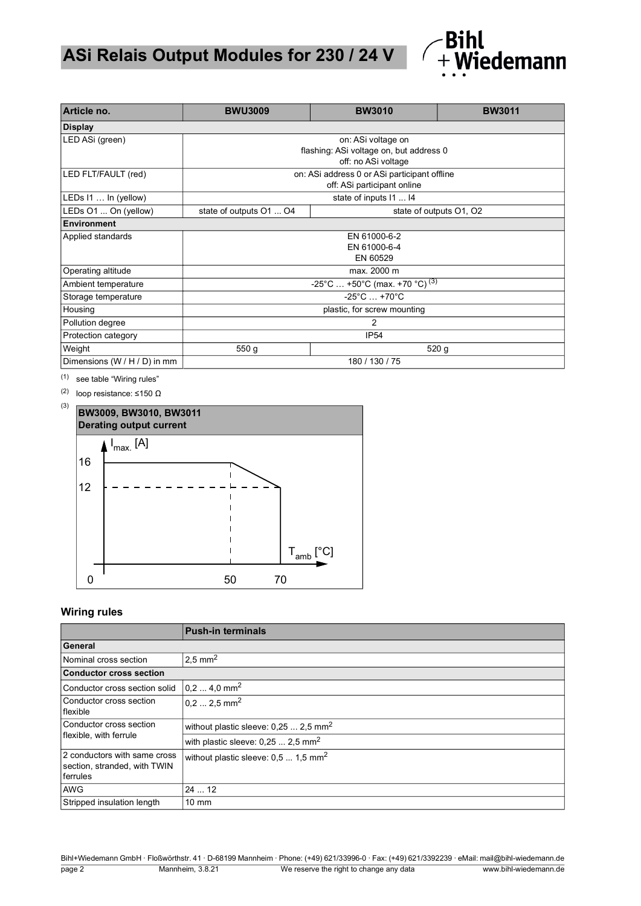

| Article no.                  | <b>BWU3009</b>                                      | <b>BW3010</b>          | <b>BW3011</b> |  |  |  |
|------------------------------|-----------------------------------------------------|------------------------|---------------|--|--|--|
| <b>Display</b>               |                                                     |                        |               |  |  |  |
| LED ASi (green)              | on: ASi voltage on                                  |                        |               |  |  |  |
|                              | flashing: ASi voltage on, but address 0             |                        |               |  |  |  |
|                              | off: no ASi voltage                                 |                        |               |  |  |  |
| LED FLT/FAULT (red)          | on: ASi address 0 or ASi participant offline        |                        |               |  |  |  |
|                              | off: ASi participant online                         |                        |               |  |  |  |
| LEDs 11  In (yellow)         |                                                     | state of inputs 11  14 |               |  |  |  |
| LEDs O1  On (yellow)         | state of outputs O1  O4<br>state of outputs O1, O2  |                        |               |  |  |  |
| Environment                  |                                                     |                        |               |  |  |  |
| Applied standards            | EN 61000-6-2                                        |                        |               |  |  |  |
|                              | EN 61000-6-4                                        |                        |               |  |  |  |
|                              | EN 60529                                            |                        |               |  |  |  |
| Operating altitude           |                                                     | max. 2000 m            |               |  |  |  |
| Ambient temperature          | $-25^{\circ}$ C  +50°C (max. +70 °C) <sup>(3)</sup> |                        |               |  |  |  |
| Storage temperature          | $-25^{\circ}$ C $ + 70^{\circ}$ C                   |                        |               |  |  |  |
| Housing                      | plastic, for screw mounting                         |                        |               |  |  |  |
| Pollution degree             | 2                                                   |                        |               |  |  |  |
| Protection category          | <b>IP54</b>                                         |                        |               |  |  |  |
| Weight                       | 550 <sub>g</sub><br>520 <sub>g</sub>                |                        |               |  |  |  |
| Dimensions (W / H / D) in mm | 180 / 130 / 75                                      |                        |               |  |  |  |

<span id="page-1-1"></span>(1) [see table "Wiring rules"](#page-1-2)

(2) loop resistance: ≤150 Ω

<span id="page-1-0"></span>

### <span id="page-1-2"></span>**Wiring rules**

|                                                                          | <b>Push-in terminals</b>                          |  |  |  |
|--------------------------------------------------------------------------|---------------------------------------------------|--|--|--|
| General                                                                  |                                                   |  |  |  |
| Nominal cross section                                                    | 2,5 mm <sup>2</sup>                               |  |  |  |
| <b>Conductor cross section</b>                                           |                                                   |  |  |  |
| Conductor cross section solid                                            | $0,24,0$ mm <sup>2</sup>                          |  |  |  |
| Conductor cross section<br>flexible                                      | $0, 2 2, 5$ mm <sup>2</sup>                       |  |  |  |
| Conductor cross section                                                  | without plastic sleeve: $0,252,5$ mm <sup>2</sup> |  |  |  |
| flexible, with ferrule                                                   | with plastic sleeve: $0,252,5$ mm <sup>2</sup>    |  |  |  |
| 2 conductors with same cross<br>section, stranded, with TWIN<br>ferrules | without plastic sleeve: $0,5$ 1,5 mm <sup>2</sup> |  |  |  |
| <b>AWG</b>                                                               | 2412                                              |  |  |  |
| Stripped insulation length                                               | $10 \text{ mm}$                                   |  |  |  |

Bihl+Wiedemann GmbH · Floßwörthstr. 41 · D-68199 Mannheim · Phone: (+49) 621/33996-0 · Fax: (+49) 621/3392239 · eMail: mail@bihl-wiedemann.de page 2 Mannheim, 3.8.21 We reserve the right to change any data www.bihl-wiedemann.de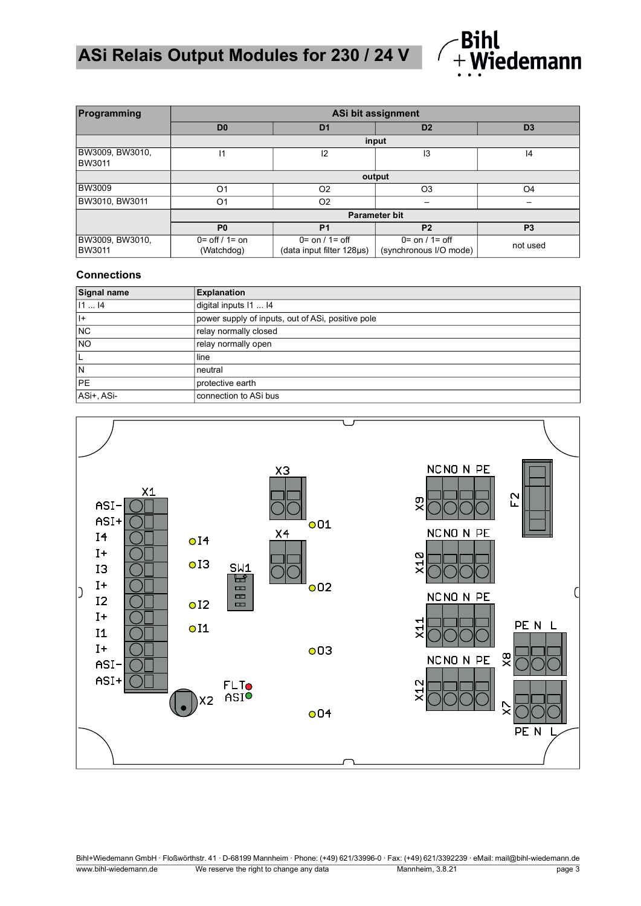

| Programming                      | ASi bit assignment                       |                                                               |                                               |                |  |
|----------------------------------|------------------------------------------|---------------------------------------------------------------|-----------------------------------------------|----------------|--|
|                                  | D <sub>0</sub>                           | D <sub>1</sub>                                                | D <sub>2</sub>                                | D <sub>3</sub> |  |
|                                  | input                                    |                                                               |                                               |                |  |
| BW3009, BW3010,<br><b>BW3011</b> | 11                                       | 12                                                            | IЗ                                            | 14             |  |
|                                  | output                                   |                                                               |                                               |                |  |
| <b>BW3009</b>                    | O <sub>1</sub>                           | O <sub>2</sub>                                                | O <sub>3</sub>                                | O <sub>4</sub> |  |
| BW3010, BW3011                   | O <sub>1</sub>                           | O <sub>2</sub>                                                |                                               |                |  |
|                                  | <b>Parameter bit</b>                     |                                                               |                                               |                |  |
|                                  | P <sub>0</sub>                           | P <sub>1</sub>                                                | P <sub>2</sub>                                | P <sub>3</sub> |  |
| BW3009, BW3010,<br><b>BW3011</b> | $0 = \frac{6}{1}$ / 1 = on<br>(Watchdog) | $0 = \text{on} / 1 = \text{off}$<br>(data input filter 128µs) | $0 =$ on $/1 =$ off<br>(synchronous I/O mode) | not used       |  |

#### **Connections**

| Signal name | <b>Explanation</b>                                |
|-------------|---------------------------------------------------|
| 1114        | digital inputs 11  I4                             |
| $ + $       | power supply of inputs, out of ASi, positive pole |
| <b>NC</b>   | relay normally closed                             |
| <b>NO</b>   | relay normally open                               |
|             | line                                              |
| N           | neutral                                           |
| <b>PE</b>   | protective earth                                  |
| ASi+, ASi-  | connection to ASi bus                             |



Bihl+Wiedemann GmbH · Floßwörthstr. 41 · D-68199 Mannheim · Phone: (+49) 621/33996-0 · Fax: (+49) 621/3392239 · eMail: mail@bihl-wiedemann.de www.bihl-wiedemann.de We reserve the right to change any data Mannheim, 3.8.21 page 3